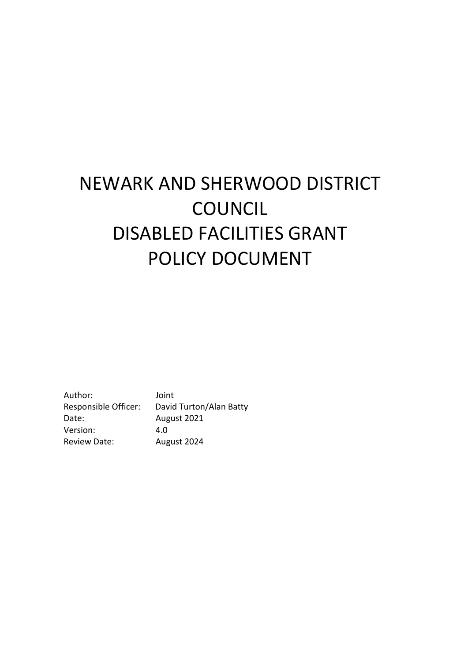# NEWARK AND SHERWOOD DISTRICT COUNCIL DISABLED FACILITIES GRANT POLICY DOCUMENT

Author: Joint Responsible Officer: David Turton/Alan Batty Date: August 2021 Version: 4.0 Review Date: August 2024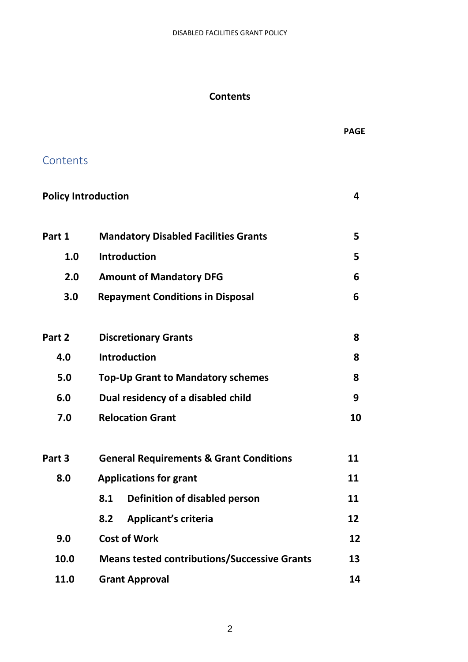## **Contents**

**Contents** 

 **PAGE**

| Part 1 | <b>Mandatory Disabled Facilities Grants</b>         | 5  |  |
|--------|-----------------------------------------------------|----|--|
| 1.0    | <b>Introduction</b>                                 | 5  |  |
| 2.0    | <b>Amount of Mandatory DFG</b>                      | 6  |  |
| 3.0    | <b>Repayment Conditions in Disposal</b>             | 6  |  |
| Part 2 | <b>Discretionary Grants</b>                         | 8  |  |
| 4.0    | <b>Introduction</b>                                 | 8  |  |
| 5.0    | <b>Top-Up Grant to Mandatory schemes</b>            | 8  |  |
| 6.0    | Dual residency of a disabled child                  | 9  |  |
| 7.0    | <b>Relocation Grant</b>                             | 10 |  |
| Part 3 | <b>General Requirements &amp; Grant Conditions</b>  | 11 |  |
| 8.0    | <b>Applications for grant</b>                       | 11 |  |
|        | Definition of disabled person<br>8.1                | 11 |  |
|        | <b>Applicant's criteria</b><br>8.2                  | 12 |  |
| 9.0    | <b>Cost of Work</b>                                 | 12 |  |
| 10.0   | <b>Means tested contributions/Successive Grants</b> | 13 |  |
| 11.0   | <b>Grant Approval</b>                               | 14 |  |

**Policy Introduction 4**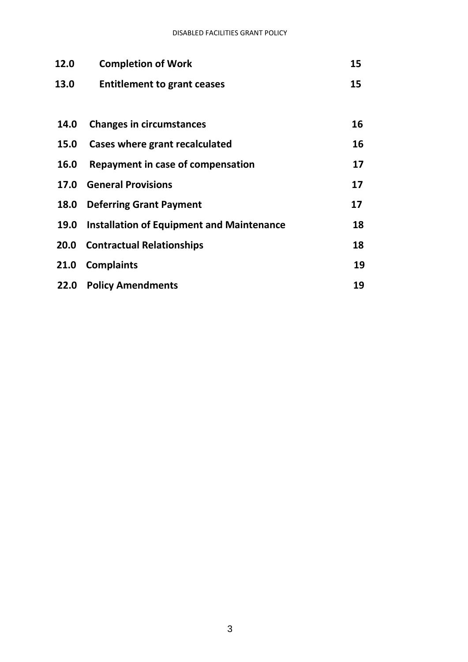| 12.0 | <b>Completion of Work</b>                        | 15 |
|------|--------------------------------------------------|----|
| 13.0 | <b>Entitlement to grant ceases</b>               | 15 |
|      |                                                  |    |
| 14.0 | <b>Changes in circumstances</b>                  | 16 |
| 15.0 | Cases where grant recalculated                   | 16 |
| 16.0 | Repayment in case of compensation                | 17 |
| 17.0 | <b>General Provisions</b>                        | 17 |
| 18.0 | <b>Deferring Grant Payment</b>                   | 17 |
| 19.0 | <b>Installation of Equipment and Maintenance</b> | 18 |
| 20.0 | <b>Contractual Relationships</b>                 | 18 |
| 21.0 | <b>Complaints</b>                                | 19 |
| 22.0 | <b>Policy Amendments</b>                         | 19 |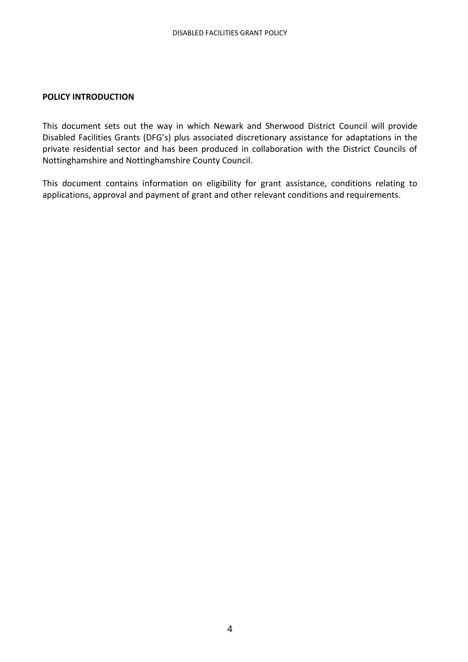#### **POLICY INTRODUCTION**

This document sets out the way in which Newark and Sherwood District Council will provide Disabled Facilities Grants (DFG's) plus associated discretionary assistance for adaptations in the private residential sector and has been produced in collaboration with the District Councils of Nottinghamshire and Nottinghamshire County Council.

This document contains information on eligibility for grant assistance, conditions relating to applications, approval and payment of grant and other relevant conditions and requirements.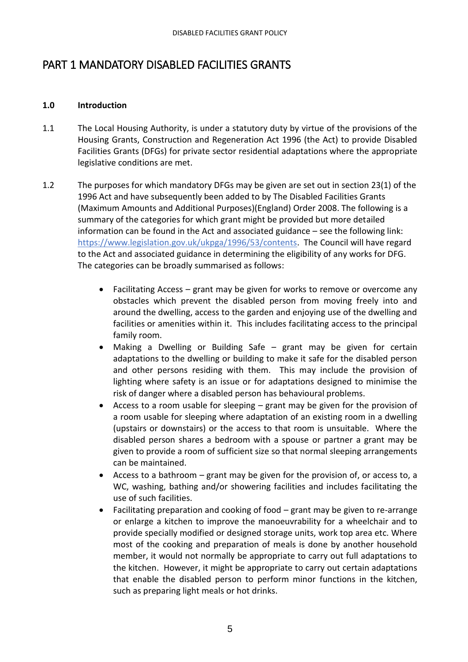## PART 1 MANDATORY DISABLED FACILITIES GRANTS

## **1.0 Introduction**

- 1.1 The Local Housing Authority, is under a statutory duty by virtue of the provisions of the Housing Grants, Construction and Regeneration Act 1996 (the Act) to provide Disabled Facilities Grants (DFGs) for private sector residential adaptations where the appropriate legislative conditions are met.
- 1.2 The purposes for which mandatory DFGs may be given are set out in section 23(1) of the 1996 Act and have subsequently been added to by The Disabled Facilities Grants (Maximum Amounts and Additional Purposes)(England) Order 2008. The following is a summary of the categories for which grant might be provided but more detailed information can be found in the Act and associated guidance – see the following link: [https://www.legislation.gov.uk/ukpga/1996/53/contents.](https://www.legislation.gov.uk/ukpga/1996/53/contents) The Council will have regard to the Act and associated guidance in determining the eligibility of any works for DFG. The categories can be broadly summarised as follows:
	- Facilitating Access grant may be given for works to remove or overcome any obstacles which prevent the disabled person from moving freely into and around the dwelling, access to the garden and enjoying use of the dwelling and facilities or amenities within it. This includes facilitating access to the principal family room.
	- Making a Dwelling or Building Safe grant may be given for certain adaptations to the dwelling or building to make it safe for the disabled person and other persons residing with them. This may include the provision of lighting where safety is an issue or for adaptations designed to minimise the risk of danger where a disabled person has behavioural problems.
	- Access to a room usable for sleeping grant may be given for the provision of a room usable for sleeping where adaptation of an existing room in a dwelling (upstairs or downstairs) or the access to that room is unsuitable. Where the disabled person shares a bedroom with a spouse or partner a grant may be given to provide a room of sufficient size so that normal sleeping arrangements can be maintained.
	- Access to a bathroom grant may be given for the provision of, or access to, a WC, washing, bathing and/or showering facilities and includes facilitating the use of such facilities.
	- Facilitating preparation and cooking of food grant may be given to re-arrange or enlarge a kitchen to improve the manoeuvrability for a wheelchair and to provide specially modified or designed storage units, work top area etc. Where most of the cooking and preparation of meals is done by another household member, it would not normally be appropriate to carry out full adaptations to the kitchen. However, it might be appropriate to carry out certain adaptations that enable the disabled person to perform minor functions in the kitchen, such as preparing light meals or hot drinks.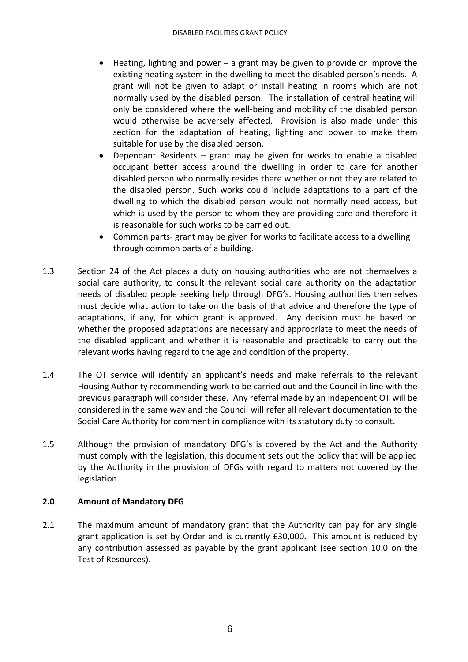- Heating, lighting and power a grant may be given to provide or improve the existing heating system in the dwelling to meet the disabled person's needs. A grant will not be given to adapt or install heating in rooms which are not normally used by the disabled person. The installation of central heating will only be considered where the well-being and mobility of the disabled person would otherwise be adversely affected. Provision is also made under this section for the adaptation of heating, lighting and power to make them suitable for use by the disabled person.
- Dependant Residents grant may be given for works to enable a disabled occupant better access around the dwelling in order to care for another disabled person who normally resides there whether or not they are related to the disabled person. Such works could include adaptations to a part of the dwelling to which the disabled person would not normally need access, but which is used by the person to whom they are providing care and therefore it is reasonable for such works to be carried out.
- Common parts- grant may be given for works to facilitate access to a dwelling through common parts of a building.
- 1.3 Section 24 of the Act places a duty on housing authorities who are not themselves a social care authority, to consult the relevant social care authority on the adaptation needs of disabled people seeking help through DFG's. Housing authorities themselves must decide what action to take on the basis of that advice and therefore the type of adaptations, if any, for which grant is approved. Any decision must be based on whether the proposed adaptations are necessary and appropriate to meet the needs of the disabled applicant and whether it is reasonable and practicable to carry out the relevant works having regard to the age and condition of the property.
- 1.4 The OT service will identify an applicant's needs and make referrals to the relevant Housing Authority recommending work to be carried out and the Council in line with the previous paragraph will consider these. Any referral made by an independent OT will be considered in the same way and the Council will refer all relevant documentation to the Social Care Authority for comment in compliance with its statutory duty to consult.
- 1.5 Although the provision of mandatory DFG's is covered by the Act and the Authority must comply with the legislation, this document sets out the policy that will be applied by the Authority in the provision of DFGs with regard to matters not covered by the legislation.

## **2.0 Amount of Mandatory DFG**

2.1 The maximum amount of mandatory grant that the Authority can pay for any single grant application is set by Order and is currently £30,000. This amount is reduced by any contribution assessed as payable by the grant applicant (see section 10.0 on the Test of Resources).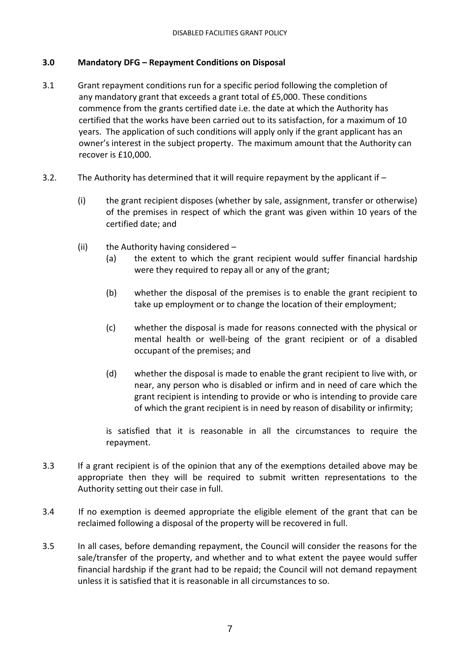## **3.0 Mandatory DFG – Repayment Conditions on Disposal**

- 3.1 Grant repayment conditions run for a specific period following the completion of any mandatory grant that exceeds a grant total of £5,000. These conditions commence from the grants certified date i.e. the date at which the Authority has certified that the works have been carried out to its satisfaction, for a maximum of 10 years. The application of such conditions will apply only if the grant applicant has an owner's interest in the subject property. The maximum amount that the Authority can recover is £10,000.
- 3.2. The Authority has determined that it will require repayment by the applicant if
	- (i) the grant recipient disposes (whether by sale, assignment, transfer or otherwise) of the premises in respect of which the grant was given within 10 years of the certified date; and
	- (ii) the Authority having considered
		- (a) the extent to which the grant recipient would suffer financial hardship were they required to repay all or any of the grant;
		- (b) whether the disposal of the premises is to enable the grant recipient to take up employment or to change the location of their employment;
		- (c) whether the disposal is made for reasons connected with the physical or mental health or well-being of the grant recipient or of a disabled occupant of the premises; and
		- (d) whether the disposal is made to enable the grant recipient to live with, or near, any person who is disabled or infirm and in need of care which the grant recipient is intending to provide or who is intending to provide care of which the grant recipient is in need by reason of disability or infirmity;

is satisfied that it is reasonable in all the circumstances to require the repayment.

- 3.3 If a grant recipient is of the opinion that any of the exemptions detailed above may be appropriate then they will be required to submit written representations to the Authority setting out their case in full.
- 3.4 If no exemption is deemed appropriate the eligible element of the grant that can be reclaimed following a disposal of the property will be recovered in full.
- 3.5 In all cases, before demanding repayment, the Council will consider the reasons for the sale/transfer of the property, and whether and to what extent the payee would suffer financial hardship if the grant had to be repaid; the Council will not demand repayment unless it is satisfied that it is reasonable in all circumstances to so.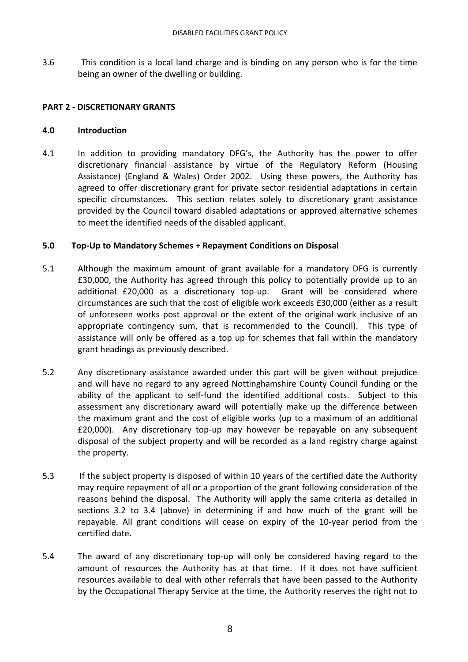3.6 This condition is a local land charge and is binding on any person who is for the time being an owner of the dwelling or building.

### **PART 2 - DISCRETIONARY GRANTS**

#### **4.0 Introduction**

4.1 In addition to providing mandatory DFG's, the Authority has the power to offer discretionary financial assistance by virtue of the Regulatory Reform (Housing Assistance) (England & Wales) Order 2002. Using these powers, the Authority has agreed to offer discretionary grant for private sector residential adaptations in certain specific circumstances. This section relates solely to discretionary grant assistance provided by the Council toward disabled adaptations or approved alternative schemes to meet the identified needs of the disabled applicant.

#### **5.0 Top-Up to Mandatory Schemes + Repayment Conditions on Disposal**

- 5.1 Although the maximum amount of grant available for a mandatory DFG is currently £30,000, the Authority has agreed through this policy to potentially provide up to an additional £20,000 as a discretionary top-up. Grant will be considered where circumstances are such that the cost of eligible work exceeds £30,000 (either as a result of unforeseen works post approval or the extent of the original work inclusive of an appropriate contingency sum, that is recommended to the Council). This type of assistance will only be offered as a top up for schemes that fall within the mandatory grant headings as previously described.
- 5.2 Any discretionary assistance awarded under this part will be given without prejudice and will have no regard to any agreed Nottinghamshire County Council funding or the ability of the applicant to self-fund the identified additional costs. Subject to this assessment any discretionary award will potentially make up the difference between the maximum grant and the cost of eligible works (up to a maximum of an additional £20,000). Any discretionary top-up may however be repayable on any subsequent disposal of the subject property and will be recorded as a land registry charge against the property.
- 5.3 If the subject property is disposed of within 10 years of the certified date the Authority may require repayment of all or a proportion of the grant following consideration of the reasons behind the disposal. The Authority will apply the same criteria as detailed in sections 3.2 to 3.4 (above) in determining if and how much of the grant will be repayable. All grant conditions will cease on expiry of the 10-year period from the certified date.
- 5.4 The award of any discretionary top-up will only be considered having regard to the amount of resources the Authority has at that time. If it does not have sufficient resources available to deal with other referrals that have been passed to the Authority by the Occupational Therapy Service at the time, the Authority reserves the right not to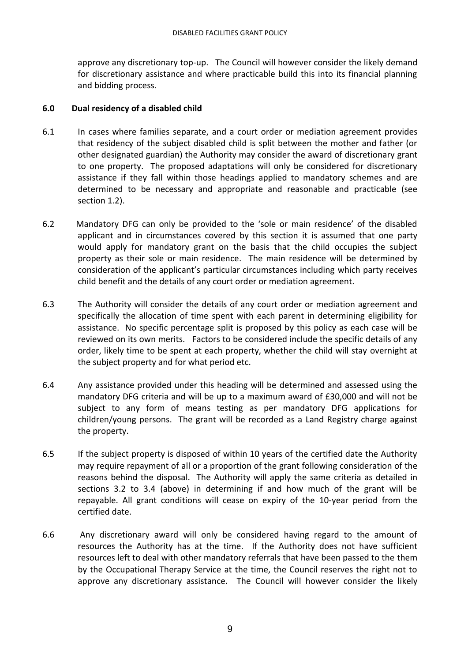approve any discretionary top-up. The Council will however consider the likely demand for discretionary assistance and where practicable build this into its financial planning and bidding process.

#### **6.0 Dual residency of a disabled child**

- 6.1 In cases where families separate, and a court order or mediation agreement provides that residency of the subject disabled child is split between the mother and father (or other designated guardian) the Authority may consider the award of discretionary grant to one property. The proposed adaptations will only be considered for discretionary assistance if they fall within those headings applied to mandatory schemes and are determined to be necessary and appropriate and reasonable and practicable (see section 1.2).
- 6.2 Mandatory DFG can only be provided to the 'sole or main residence' of the disabled applicant and in circumstances covered by this section it is assumed that one party would apply for mandatory grant on the basis that the child occupies the subject property as their sole or main residence. The main residence will be determined by consideration of the applicant's particular circumstances including which party receives child benefit and the details of any court order or mediation agreement.
- 6.3 The Authority will consider the details of any court order or mediation agreement and specifically the allocation of time spent with each parent in determining eligibility for assistance. No specific percentage split is proposed by this policy as each case will be reviewed on its own merits. Factors to be considered include the specific details of any order, likely time to be spent at each property, whether the child will stay overnight at the subject property and for what period etc.
- 6.4 Any assistance provided under this heading will be determined and assessed using the mandatory DFG criteria and will be up to a maximum award of £30,000 and will not be subject to any form of means testing as per mandatory DFG applications for children/young persons. The grant will be recorded as a Land Registry charge against the property.
- 6.5 If the subject property is disposed of within 10 years of the certified date the Authority may require repayment of all or a proportion of the grant following consideration of the reasons behind the disposal. The Authority will apply the same criteria as detailed in sections 3.2 to 3.4 (above) in determining if and how much of the grant will be repayable. All grant conditions will cease on expiry of the 10-year period from the certified date.
- 6.6 Any discretionary award will only be considered having regard to the amount of resources the Authority has at the time. If the Authority does not have sufficient resources left to deal with other mandatory referrals that have been passed to the them by the Occupational Therapy Service at the time, the Council reserves the right not to approve any discretionary assistance. The Council will however consider the likely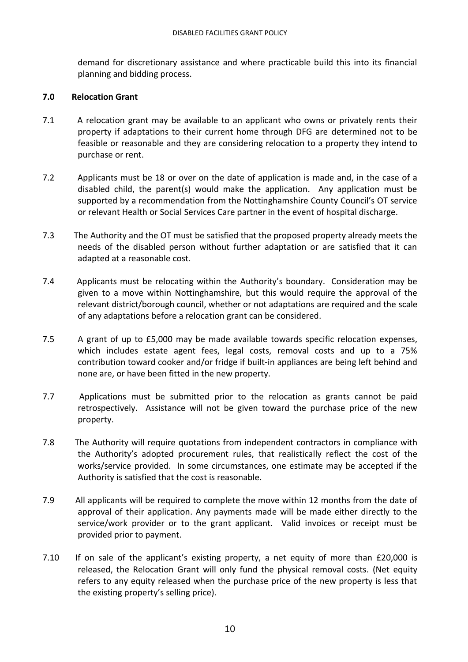demand for discretionary assistance and where practicable build this into its financial planning and bidding process.

#### **7.0 Relocation Grant**

- 7.1 A relocation grant may be available to an applicant who owns or privately rents their property if adaptations to their current home through DFG are determined not to be feasible or reasonable and they are considering relocation to a property they intend to purchase or rent.
- 7.2 Applicants must be 18 or over on the date of application is made and, in the case of a disabled child, the parent(s) would make the application. Any application must be supported by a recommendation from the Nottinghamshire County Council's OT service or relevant Health or Social Services Care partner in the event of hospital discharge.
- 7.3 The Authority and the OT must be satisfied that the proposed property already meets the needs of the disabled person without further adaptation or are satisfied that it can adapted at a reasonable cost.
- 7.4 Applicants must be relocating within the Authority's boundary. Consideration may be given to a move within Nottinghamshire, but this would require the approval of the relevant district/borough council, whether or not adaptations are required and the scale of any adaptations before a relocation grant can be considered.
- 7.5 A grant of up to £5,000 may be made available towards specific relocation expenses, which includes estate agent fees, legal costs, removal costs and up to a 75% contribution toward cooker and/or fridge if built-in appliances are being left behind and none are, or have been fitted in the new property.
- 7.7 Applications must be submitted prior to the relocation as grants cannot be paid retrospectively. Assistance will not be given toward the purchase price of the new property.
- 7.8 The Authority will require quotations from independent contractors in compliance with the Authority's adopted procurement rules, that realistically reflect the cost of the works/service provided. In some circumstances, one estimate may be accepted if the Authority is satisfied that the cost is reasonable.
- 7.9 All applicants will be required to complete the move within 12 months from the date of approval of their application. Any payments made will be made either directly to the service/work provider or to the grant applicant. Valid invoices or receipt must be provided prior to payment.
- 7.10 If on sale of the applicant's existing property, a net equity of more than £20,000 is released, the Relocation Grant will only fund the physical removal costs. (Net equity refers to any equity released when the purchase price of the new property is less that the existing property's selling price).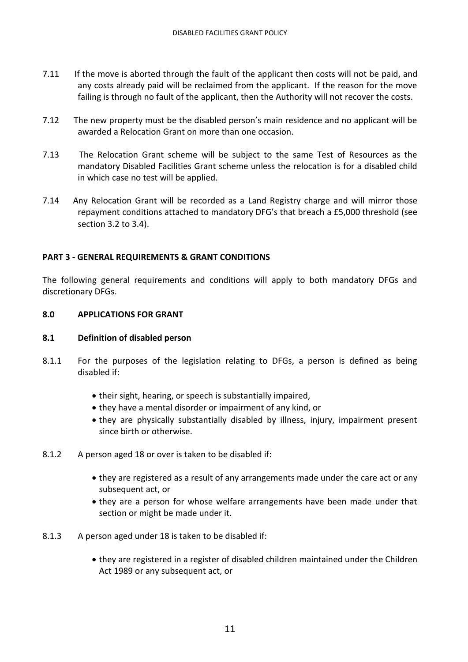- 7.11 If the move is aborted through the fault of the applicant then costs will not be paid, and any costs already paid will be reclaimed from the applicant. If the reason for the move failing is through no fault of the applicant, then the Authority will not recover the costs.
- 7.12 The new property must be the disabled person's main residence and no applicant will be awarded a Relocation Grant on more than one occasion.
- 7.13 The Relocation Grant scheme will be subject to the same Test of Resources as the mandatory Disabled Facilities Grant scheme unless the relocation is for a disabled child in which case no test will be applied.
- 7.14 Any Relocation Grant will be recorded as a Land Registry charge and will mirror those repayment conditions attached to mandatory DFG's that breach a £5,000 threshold (see section 3.2 to 3.4).

## **PART 3 - GENERAL REQUIREMENTS & GRANT CONDITIONS**

The following general requirements and conditions will apply to both mandatory DFGs and discretionary DFGs.

#### **8.0 APPLICATIONS FOR GRANT**

#### **8.1 Definition of disabled person**

- 8.1.1 For the purposes of the legislation relating to DFGs, a person is defined as being disabled if:
	- their sight, hearing, or speech is substantially impaired,
	- they have a mental disorder or impairment of any kind, or
	- they are physically substantially disabled by illness, injury, impairment present since birth or otherwise.
- 8.1.2 A person aged 18 or over is taken to be disabled if:
	- they are registered as a result of any arrangements made under the care act or any subsequent act, or
	- they are a person for whose welfare arrangements have been made under that section or might be made under it.
- 8.1.3 A person aged under 18 is taken to be disabled if:
	- they are registered in a register of disabled children maintained under the Children Act 1989 or any subsequent act, or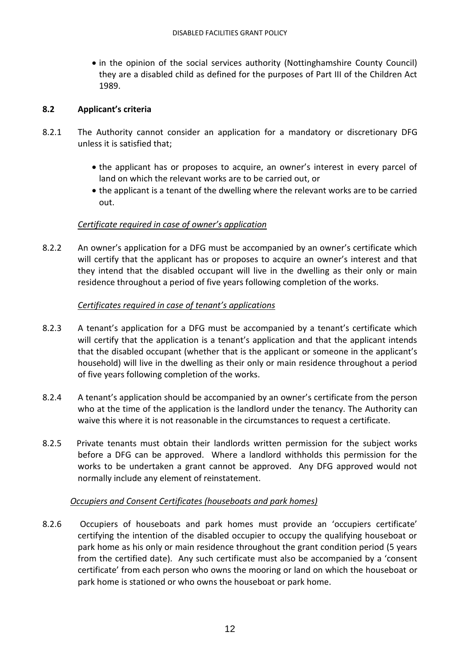• in the opinion of the social services authority (Nottinghamshire County Council) they are a disabled child as defined for the purposes of Part III of the Children Act 1989.

## **8.2 Applicant's criteria**

- 8.2.1 The Authority cannot consider an application for a mandatory or discretionary DFG unless it is satisfied that;
	- the applicant has or proposes to acquire, an owner's interest in every parcel of land on which the relevant works are to be carried out, or
	- the applicant is a tenant of the dwelling where the relevant works are to be carried out.

## *Certificate required in case of owner's application*

8.2.2 An owner's application for a DFG must be accompanied by an owner's certificate which will certify that the applicant has or proposes to acquire an owner's interest and that they intend that the disabled occupant will live in the dwelling as their only or main residence throughout a period of five years following completion of the works.

## *Certificates required in case of tenant's applications*

- 8.2.3 A tenant's application for a DFG must be accompanied by a tenant's certificate which will certify that the application is a tenant's application and that the applicant intends that the disabled occupant (whether that is the applicant or someone in the applicant's household) will live in the dwelling as their only or main residence throughout a period of five years following completion of the works.
- 8.2.4 A tenant's application should be accompanied by an owner's certificate from the person who at the time of the application is the landlord under the tenancy. The Authority can waive this where it is not reasonable in the circumstances to request a certificate.
- 8.2.5 Private tenants must obtain their landlords written permission for the subject works before a DFG can be approved. Where a landlord withholds this permission for the works to be undertaken a grant cannot be approved. Any DFG approved would not normally include any element of reinstatement.

## *Occupiers and Consent Certificates (houseboats and park homes)*

8.2.6 Occupiers of houseboats and park homes must provide an 'occupiers certificate' certifying the intention of the disabled occupier to occupy the qualifying houseboat or park home as his only or main residence throughout the grant condition period (5 years from the certified date). Any such certificate must also be accompanied by a 'consent certificate' from each person who owns the mooring or land on which the houseboat or park home is stationed or who owns the houseboat or park home.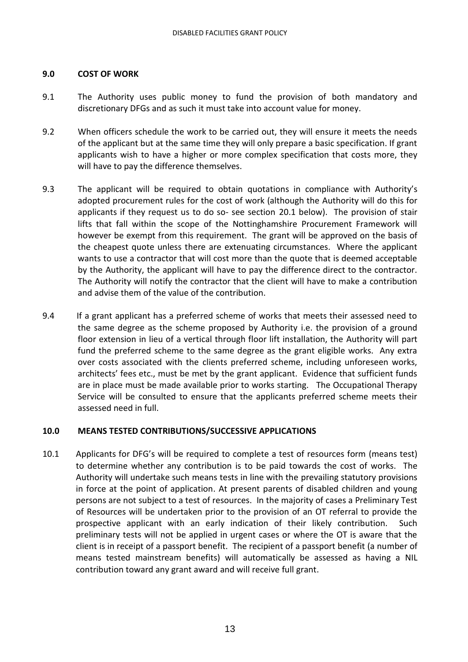### **9.0 COST OF WORK**

- 9.1 The Authority uses public money to fund the provision of both mandatory and discretionary DFGs and as such it must take into account value for money.
- 9.2 When officers schedule the work to be carried out, they will ensure it meets the needs of the applicant but at the same time they will only prepare a basic specification. If grant applicants wish to have a higher or more complex specification that costs more, they will have to pay the difference themselves.
- 9.3 The applicant will be required to obtain quotations in compliance with Authority's adopted procurement rules for the cost of work (although the Authority will do this for applicants if they request us to do so- see section 20.1 below). The provision of stair lifts that fall within the scope of the Nottinghamshire Procurement Framework will however be exempt from this requirement. The grant will be approved on the basis of the cheapest quote unless there are extenuating circumstances. Where the applicant wants to use a contractor that will cost more than the quote that is deemed acceptable by the Authority, the applicant will have to pay the difference direct to the contractor. The Authority will notify the contractor that the client will have to make a contribution and advise them of the value of the contribution.
- 9.4 If a grant applicant has a preferred scheme of works that meets their assessed need to the same degree as the scheme proposed by Authority i.e. the provision of a ground floor extension in lieu of a vertical through floor lift installation, the Authority will part fund the preferred scheme to the same degree as the grant eligible works. Any extra over costs associated with the clients preferred scheme, including unforeseen works, architects' fees etc., must be met by the grant applicant. Evidence that sufficient funds are in place must be made available prior to works starting. The Occupational Therapy Service will be consulted to ensure that the applicants preferred scheme meets their assessed need in full.

#### **10.0 MEANS TESTED CONTRIBUTIONS/SUCCESSIVE APPLICATIONS**

10.1 Applicants for DFG's will be required to complete a test of resources form (means test) to determine whether any contribution is to be paid towards the cost of works. The Authority will undertake such means tests in line with the prevailing statutory provisions in force at the point of application. At present parents of disabled children and young persons are not subject to a test of resources. In the majority of cases a Preliminary Test of Resources will be undertaken prior to the provision of an OT referral to provide the prospective applicant with an early indication of their likely contribution. Such preliminary tests will not be applied in urgent cases or where the OT is aware that the client is in receipt of a passport benefit. The recipient of a passport benefit (a number of means tested mainstream benefits) will automatically be assessed as having a NIL contribution toward any grant award and will receive full grant.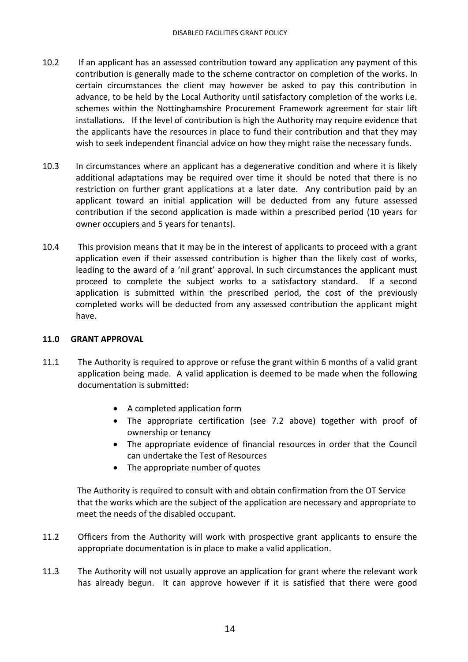- 10.2 If an applicant has an assessed contribution toward any application any payment of this contribution is generally made to the scheme contractor on completion of the works. In certain circumstances the client may however be asked to pay this contribution in advance, to be held by the Local Authority until satisfactory completion of the works i.e. schemes within the Nottinghamshire Procurement Framework agreement for stair lift installations. If the level of contribution is high the Authority may require evidence that the applicants have the resources in place to fund their contribution and that they may wish to seek independent financial advice on how they might raise the necessary funds.
- 10.3 In circumstances where an applicant has a degenerative condition and where it is likely additional adaptations may be required over time it should be noted that there is no restriction on further grant applications at a later date. Any contribution paid by an applicant toward an initial application will be deducted from any future assessed contribution if the second application is made within a prescribed period (10 years for owner occupiers and 5 years for tenants).
- 10.4 This provision means that it may be in the interest of applicants to proceed with a grant application even if their assessed contribution is higher than the likely cost of works, leading to the award of a 'nil grant' approval. In such circumstances the applicant must proceed to complete the subject works to a satisfactory standard. If a second application is submitted within the prescribed period, the cost of the previously completed works will be deducted from any assessed contribution the applicant might have.

#### **11.0 GRANT APPROVAL**

- 11.1 The Authority is required to approve or refuse the grant within 6 months of a valid grant application being made. A valid application is deemed to be made when the following documentation is submitted:
	- A completed application form
	- The appropriate certification (see 7.2 above) together with proof of ownership or tenancy
	- The appropriate evidence of financial resources in order that the Council can undertake the Test of Resources
	- The appropriate number of quotes

 The Authority is required to consult with and obtain confirmation from the OT Service that the works which are the subject of the application are necessary and appropriate to meet the needs of the disabled occupant.

- 11.2 Officers from the Authority will work with prospective grant applicants to ensure the appropriate documentation is in place to make a valid application.
- 11.3 The Authority will not usually approve an application for grant where the relevant work has already begun. It can approve however if it is satisfied that there were good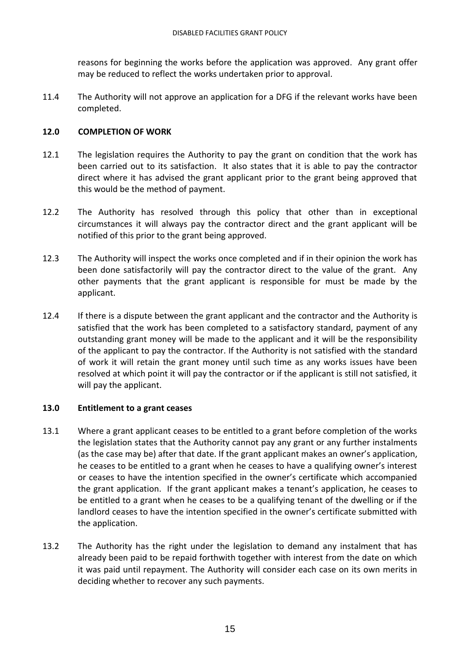reasons for beginning the works before the application was approved. Any grant offer may be reduced to reflect the works undertaken prior to approval.

11.4 The Authority will not approve an application for a DFG if the relevant works have been completed.

## **12.0 COMPLETION OF WORK**

- 12.1 The legislation requires the Authority to pay the grant on condition that the work has been carried out to its satisfaction. It also states that it is able to pay the contractor direct where it has advised the grant applicant prior to the grant being approved that this would be the method of payment.
- 12.2 The Authority has resolved through this policy that other than in exceptional circumstances it will always pay the contractor direct and the grant applicant will be notified of this prior to the grant being approved.
- 12.3 The Authority will inspect the works once completed and if in their opinion the work has been done satisfactorily will pay the contractor direct to the value of the grant. Any other payments that the grant applicant is responsible for must be made by the applicant.
- 12.4 If there is a dispute between the grant applicant and the contractor and the Authority is satisfied that the work has been completed to a satisfactory standard, payment of any outstanding grant money will be made to the applicant and it will be the responsibility of the applicant to pay the contractor. If the Authority is not satisfied with the standard of work it will retain the grant money until such time as any works issues have been resolved at which point it will pay the contractor or if the applicant is still not satisfied, it will pay the applicant.

## **13.0 Entitlement to a grant ceases**

- 13.1 Where a grant applicant ceases to be entitled to a grant before completion of the works the legislation states that the Authority cannot pay any grant or any further instalments (as the case may be) after that date. If the grant applicant makes an owner's application, he ceases to be entitled to a grant when he ceases to have a qualifying owner's interest or ceases to have the intention specified in the owner's certificate which accompanied the grant application. If the grant applicant makes a tenant's application, he ceases to be entitled to a grant when he ceases to be a qualifying tenant of the dwelling or if the landlord ceases to have the intention specified in the owner's certificate submitted with the application.
- 13.2 The Authority has the right under the legislation to demand any instalment that has already been paid to be repaid forthwith together with interest from the date on which it was paid until repayment. The Authority will consider each case on its own merits in deciding whether to recover any such payments.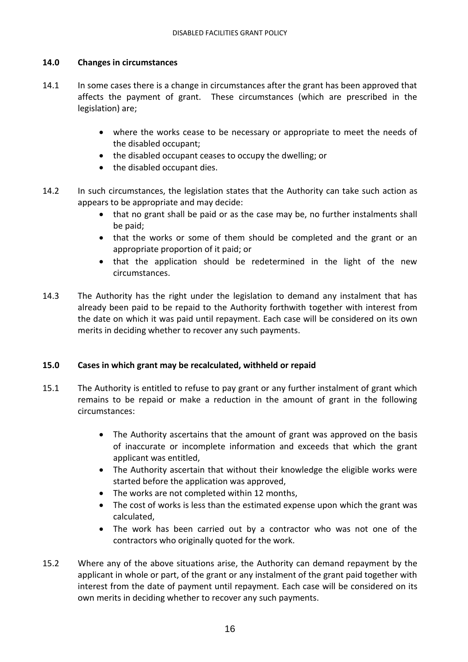## **14.0 Changes in circumstances**

- 14.1 In some cases there is a change in circumstances after the grant has been approved that affects the payment of grant. These circumstances (which are prescribed in the legislation) are;
	- where the works cease to be necessary or appropriate to meet the needs of the disabled occupant;
	- the disabled occupant ceases to occupy the dwelling; or
	- the disabled occupant dies.
- 14.2 In such circumstances, the legislation states that the Authority can take such action as appears to be appropriate and may decide:
	- that no grant shall be paid or as the case may be, no further instalments shall be paid;
	- that the works or some of them should be completed and the grant or an appropriate proportion of it paid; or
	- that the application should be redetermined in the light of the new circumstances.
- 14.3 The Authority has the right under the legislation to demand any instalment that has already been paid to be repaid to the Authority forthwith together with interest from the date on which it was paid until repayment. Each case will be considered on its own merits in deciding whether to recover any such payments.

## **15.0 Cases in which grant may be recalculated, withheld or repaid**

- 15.1 The Authority is entitled to refuse to pay grant or any further instalment of grant which remains to be repaid or make a reduction in the amount of grant in the following circumstances:
	- The Authority ascertains that the amount of grant was approved on the basis of inaccurate or incomplete information and exceeds that which the grant applicant was entitled,
	- The Authority ascertain that without their knowledge the eligible works were started before the application was approved,
	- The works are not completed within 12 months,
	- The cost of works is less than the estimated expense upon which the grant was calculated,
	- The work has been carried out by a contractor who was not one of the contractors who originally quoted for the work.
- 15.2 Where any of the above situations arise, the Authority can demand repayment by the applicant in whole or part, of the grant or any instalment of the grant paid together with interest from the date of payment until repayment. Each case will be considered on its own merits in deciding whether to recover any such payments.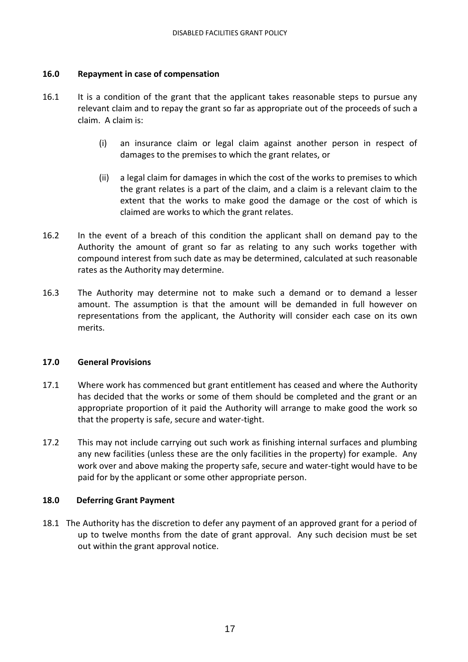#### **16.0 Repayment in case of compensation**

- 16.1 It is a condition of the grant that the applicant takes reasonable steps to pursue any relevant claim and to repay the grant so far as appropriate out of the proceeds of such a claim. A claim is:
	- (i) an insurance claim or legal claim against another person in respect of damages to the premises to which the grant relates, or
	- (ii) a legal claim for damages in which the cost of the works to premises to which the grant relates is a part of the claim, and a claim is a relevant claim to the extent that the works to make good the damage or the cost of which is claimed are works to which the grant relates.
- 16.2 In the event of a breach of this condition the applicant shall on demand pay to the Authority the amount of grant so far as relating to any such works together with compound interest from such date as may be determined, calculated at such reasonable rates as the Authority may determine.
- 16.3 The Authority may determine not to make such a demand or to demand a lesser amount. The assumption is that the amount will be demanded in full however on representations from the applicant, the Authority will consider each case on its own merits.

#### **17.0 General Provisions**

- 17.1 Where work has commenced but grant entitlement has ceased and where the Authority has decided that the works or some of them should be completed and the grant or an appropriate proportion of it paid the Authority will arrange to make good the work so that the property is safe, secure and water-tight.
- 17.2 This may not include carrying out such work as finishing internal surfaces and plumbing any new facilities (unless these are the only facilities in the property) for example. Any work over and above making the property safe, secure and water-tight would have to be paid for by the applicant or some other appropriate person.

#### **18.0 Deferring Grant Payment**

18.1 The Authority has the discretion to defer any payment of an approved grant for a period of up to twelve months from the date of grant approval. Any such decision must be set out within the grant approval notice.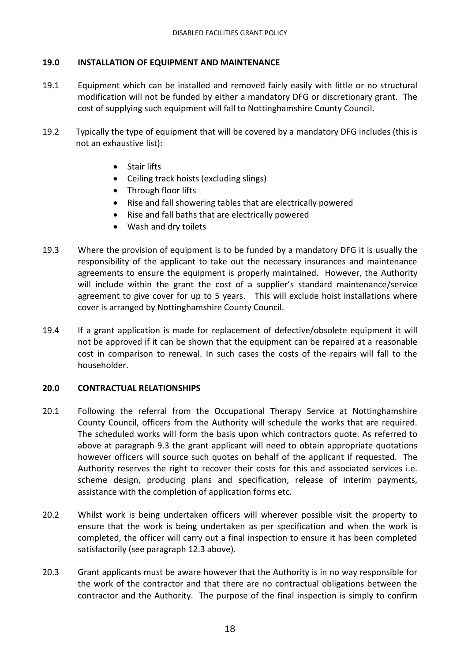## **19.0 INSTALLATION OF EQUIPMENT AND MAINTENANCE**

- 19.1 Equipment which can be installed and removed fairly easily with little or no structural modification will not be funded by either a mandatory DFG or discretionary grant. The cost of supplying such equipment will fall to Nottinghamshire County Council.
- 19.2 Typically the type of equipment that will be covered by a mandatory DFG includes (this is not an exhaustive list):
	- Stair lifts
	- Ceiling track hoists (excluding slings)
	- Through floor lifts
	- Rise and fall showering tables that are electrically powered
	- Rise and fall baths that are electrically powered
	- Wash and dry toilets
- 19.3 Where the provision of equipment is to be funded by a mandatory DFG it is usually the responsibility of the applicant to take out the necessary insurances and maintenance agreements to ensure the equipment is properly maintained. However, the Authority will include within the grant the cost of a supplier's standard maintenance/service agreement to give cover for up to 5 years. This will exclude hoist installations where cover is arranged by Nottinghamshire County Council.
- 19.4 If a grant application is made for replacement of defective/obsolete equipment it will not be approved if it can be shown that the equipment can be repaired at a reasonable cost in comparison to renewal. In such cases the costs of the repairs will fall to the householder.

## **20.0 CONTRACTUAL RELATIONSHIPS**

- 20.1 Following the referral from the Occupational Therapy Service at Nottinghamshire County Council, officers from the Authority will schedule the works that are required. The scheduled works will form the basis upon which contractors quote. As referred to above at paragraph 9.3 the grant applicant will need to obtain appropriate quotations however officers will source such quotes on behalf of the applicant if requested. The Authority reserves the right to recover their costs for this and associated services i.e. scheme design, producing plans and specification, release of interim payments, assistance with the completion of application forms etc.
- 20.2 Whilst work is being undertaken officers will wherever possible visit the property to ensure that the work is being undertaken as per specification and when the work is completed, the officer will carry out a final inspection to ensure it has been completed satisfactorily (see paragraph 12.3 above).
- 20.3 Grant applicants must be aware however that the Authority is in no way responsible for the work of the contractor and that there are no contractual obligations between the contractor and the Authority. The purpose of the final inspection is simply to confirm